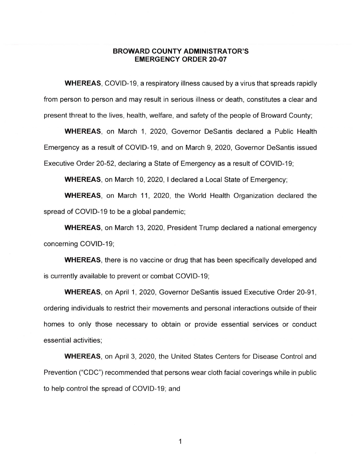## **BROWARD COUNTY ADMINISTRATOR'S EMERGENCY ORDER 20-07**

**WHEREAS,** COVID-19, a respiratory illness caused by a virus that spreads rapidly from person to person and may result in serious illness or death, constitutes a clear and present threat to the lives, health, welfare, and safety of the people of Broward County;

**WHEREAS,** on March 1, 2020, Governor Desantis declared a Public Health Emergency as a result of COVID-19, and on March 9, 2020, Governor Desantis issued Executive Order 20-52, declaring a State of Emergency as a result of COVID-19;

' **WHEREAS,** on March 10, 2020, I declared a Local State of Emergency;

**WHEREAS,** on March 11, 2020, the World Health Organization declared the spread of COVID-19 to be a global pandemic;

**WHEREAS,** on March 13, 2020, President Trump declared a national emergency concerning COVID-19;

**WHEREAS,** there is no vaccine or drug that has been specifically developed and is currently available to prevent or combat COVID-19;

**WHEREAS,** on April 1, 2020, Governor Desantis issued Executive Order 20-91, ordering individuals to restrict their movements and personal interactions outside of their homes to only those necessary to obtain or provide essential services or conduct essential activities;

**WHEREAS,** on April 3, 2020, the United States Centers for Disease Control and Prevention ("CDC") recommended that persons wear cloth facial coverings while in public to help control the spread of COVID-19; and

1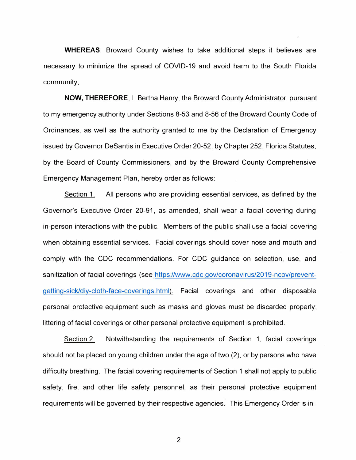**WHEREAS,** Broward County wishes to take additional steps it believes are necessary to minimize the spread of COVID-19 and avoid harm to the South Florida community,

**NOW, THEREFORE,** I, Bertha Henry, the Broward County Administrator, pursuant to my emergency authority under Sections 8-53 and 8-56 of the Broward County Code of Ordinances, as well as the authority granted to me by the Declaration of Emergency issued by Governor DeSantis in Executive Order 20-52, by Chapter 252, Florida Statutes, by the Board of County Commissioners, and by the Broward County Comprehensive Emergency Management Plan, hereby order as follows:

Section 1. All persons who are providing essential services, as defined by the Governor's Executive Order 20-91, as amended, shall wear a facial covering during in-person interactions with the public. Members of the public shall use a facial covering when obtaining essential services. Facial coverings should cover nose and mouth and comply with the CDC recommendations. For CDC guidance on selection, use, and sanitization of facial coverings (see https://www.cdc.gov/coronavirus/2019-ncov/preventgetting-sick/diy-cloth-face-coverings.html). Facial coverings and other disposable personal protective equipment such as masks and gloves must be discarded properly; littering of facial coverings or other personal protective equipment is prohibited.

Section 2. Notwithstanding the requirements of Section 1, facial coverings should not be placed on young children under the age of two (2), or by persons who have difficulty breathing. The facial covering requirements of Section 1 shall not apply to public safety, fire, and other life safety personnel, as their personal protective equipment requirements will be governed by their respective agencies. This Emergency Order is in

2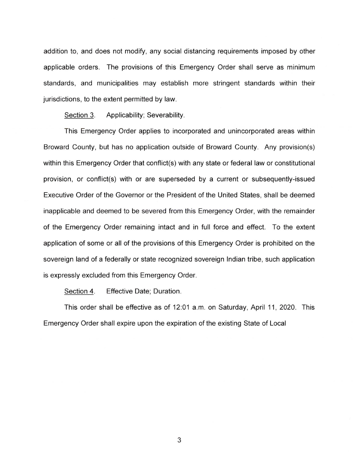addition to, and does not modify, any social distancing requirements imposed by other applicable orders. The provisions of this Emergency Order shall serve as minimum standards, and municipalities may establish more stringent standards within their jurisdictions, to the extent permitted by law.

Section 3. Applicability; Severability.

This Emergency Order applies to incorporated and unincorporated areas within Broward County, but has no application outside of Broward County. Any provision(s) within this Emergency Order that conflict(s) with any state or federal law or constitutional provision, or conflict(s) with or are superseded by a current or subsequently-issued Executive Order of the Governor or the President of the United States, shall be deemed inapplicable and deemed to be severed from this Emergency Order, with the remainder of the Emergency Order remaining intact and in full force and effect. To the extent application of some or all of the provisions of this Emergency Order is prohibited on the sovereign land of a federally or state recognized sovereign Indian tribe, such application is expressly excluded from this Emergency Order.

Section 4. Effective Date: Duration.

This order shall be effective as of 12:01 a.m. on Saturday, April 11, 2020. This Emergency Order shall expire upon the expiration of the existing State of Local

3